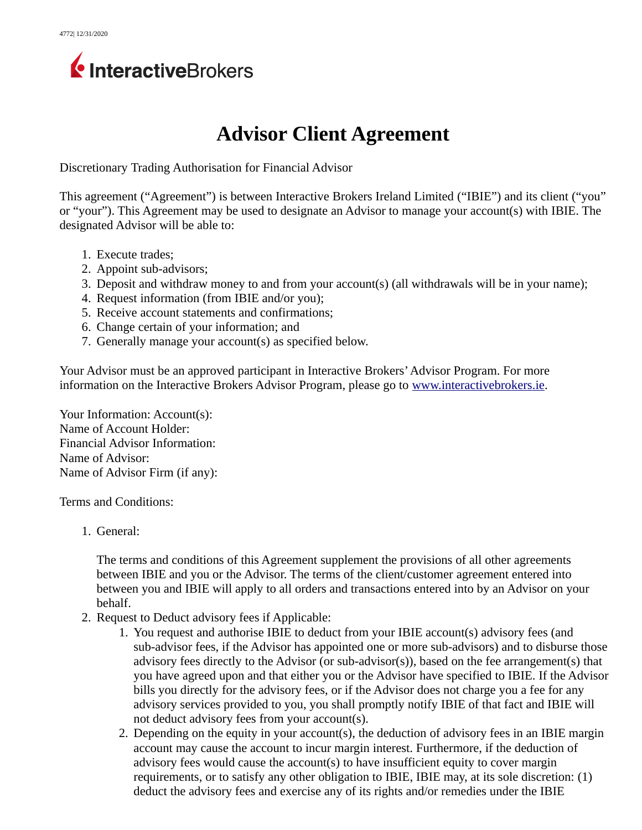

## **Advisor Client Agreement**

Discretionary Trading Authorisation for Financial Advisor

This agreement ("Agreement") is between Interactive Brokers Ireland Limited ("IBIE") and its client ("you" or "your"). This Agreement may be used to designate an Advisor to manage your account(s) with IBIE. The designated Advisor will be able to:

- 1. Execute trades;
- 2. Appoint sub-advisors;
- 3. Deposit and withdraw money to and from your account(s) (all withdrawals will be in your name);
- 4. Request information (from IBIE and/or you);
- 5. Receive account statements and confirmations;
- 6. Change certain of your information; and
- 7. Generally manage your account(s) as specified below.

Your Advisor must be an approved participant in Interactive Brokers' Advisor Program. For more information on the Interactive Brokers Advisor Program, please go to [www.interactivebrokers.ie.](file:///home/dev167a/kdavidso/staged_forms/www.interactivebrokers.ie)

Your Information: Account(s): Name of Account Holder: Financial Advisor Information: Name of Advisor: Name of Advisor Firm (if any):

Terms and Conditions:

1. General:

The terms and conditions of this Agreement supplement the provisions of all other agreements between IBIE and you or the Advisor. The terms of the client/customer agreement entered into between you and IBIE will apply to all orders and transactions entered into by an Advisor on your behalf.

- 2. Request to Deduct advisory fees if Applicable:
	- 1. You request and authorise IBIE to deduct from your IBIE account(s) advisory fees (and sub-advisor fees, if the Advisor has appointed one or more sub-advisors) and to disburse those advisory fees directly to the Advisor (or sub-advisor(s)), based on the fee arrangement(s) that you have agreed upon and that either you or the Advisor have specified to IBIE. If the Advisor bills you directly for the advisory fees, or if the Advisor does not charge you a fee for any advisory services provided to you, you shall promptly notify IBIE of that fact and IBIE will not deduct advisory fees from your account(s).
	- 2. Depending on the equity in your account(s), the deduction of advisory fees in an IBIE margin account may cause the account to incur margin interest. Furthermore, if the deduction of advisory fees would cause the account(s) to have insufficient equity to cover margin requirements, or to satisfy any other obligation to IBIE, IBIE may, at its sole discretion: (1) deduct the advisory fees and exercise any of its rights and/or remedies under the IBIE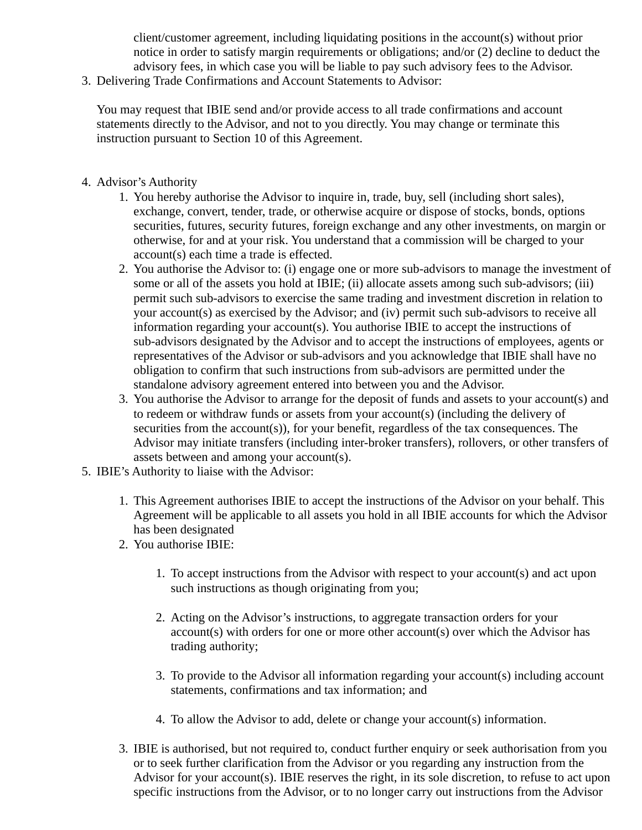client/customer agreement, including liquidating positions in the account(s) without prior notice in order to satisfy margin requirements or obligations; and/or (2) decline to deduct the advisory fees, in which case you will be liable to pay such advisory fees to the Advisor.

3. Delivering Trade Confirmations and Account Statements to Advisor:

You may request that IBIE send and/or provide access to all trade confirmations and account statements directly to the Advisor, and not to you directly. You may change or terminate this instruction pursuant to Section 10 of this Agreement.

- 4. Advisor's Authority
	- 1. You hereby authorise the Advisor to inquire in, trade, buy, sell (including short sales), exchange, convert, tender, trade, or otherwise acquire or dispose of stocks, bonds, options securities, futures, security futures, foreign exchange and any other investments, on margin or otherwise, for and at your risk. You understand that a commission will be charged to your account(s) each time a trade is effected.
	- 2. You authorise the Advisor to: (i) engage one or more sub-advisors to manage the investment of some or all of the assets you hold at IBIE; (ii) allocate assets among such sub-advisors; (iii) permit such sub-advisors to exercise the same trading and investment discretion in relation to your account(s) as exercised by the Advisor; and (iv) permit such sub-advisors to receive all information regarding your account(s). You authorise IBIE to accept the instructions of sub-advisors designated by the Advisor and to accept the instructions of employees, agents or representatives of the Advisor or sub-advisors and you acknowledge that IBIE shall have no obligation to confirm that such instructions from sub-advisors are permitted under the standalone advisory agreement entered into between you and the Advisor.
	- 3. You authorise the Advisor to arrange for the deposit of funds and assets to your account(s) and to redeem or withdraw funds or assets from your account(s) (including the delivery of securities from the account(s)), for your benefit, regardless of the tax consequences. The Advisor may initiate transfers (including inter-broker transfers), rollovers, or other transfers of assets between and among your account(s).
- 5. IBIE's Authority to liaise with the Advisor:
	- 1. This Agreement authorises IBIE to accept the instructions of the Advisor on your behalf. This Agreement will be applicable to all assets you hold in all IBIE accounts for which the Advisor has been designated
	- 2. You authorise IBIE:
		- 1. To accept instructions from the Advisor with respect to your account(s) and act upon such instructions as though originating from you;
		- 2. Acting on the Advisor's instructions, to aggregate transaction orders for your account(s) with orders for one or more other account(s) over which the Advisor has trading authority;
		- 3. To provide to the Advisor all information regarding your account(s) including account statements, confirmations and tax information; and
		- 4. To allow the Advisor to add, delete or change your account(s) information.
	- 3. IBIE is authorised, but not required to, conduct further enquiry or seek authorisation from you or to seek further clarification from the Advisor or you regarding any instruction from the Advisor for your account(s). IBIE reserves the right, in its sole discretion, to refuse to act upon specific instructions from the Advisor, or to no longer carry out instructions from the Advisor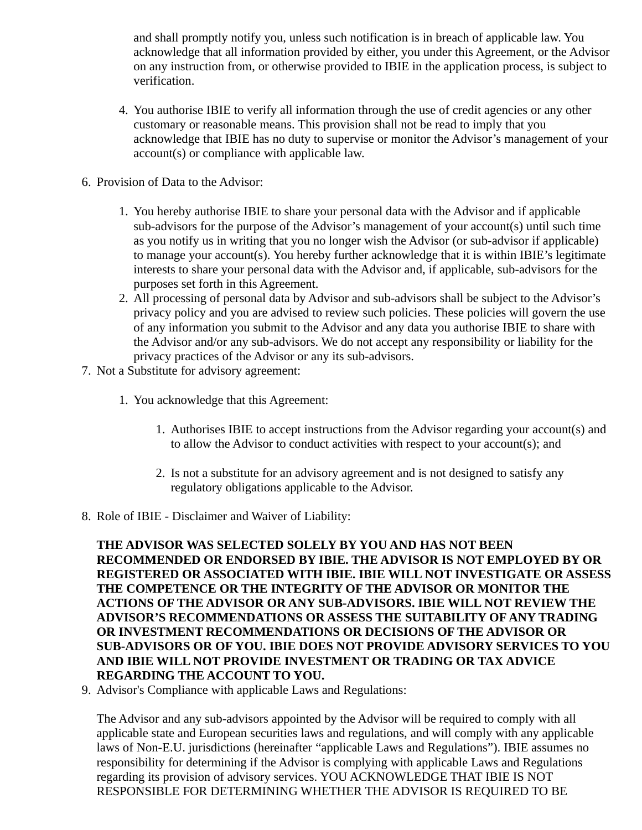and shall promptly notify you, unless such notification is in breach of applicable law. You acknowledge that all information provided by either, you under this Agreement, or the Advisor on any instruction from, or otherwise provided to IBIE in the application process, is subject to verification.

- 4. You authorise IBIE to verify all information through the use of credit agencies or any other customary or reasonable means. This provision shall not be read to imply that you acknowledge that IBIE has no duty to supervise or monitor the Advisor's management of your account(s) or compliance with applicable law.
- 6. Provision of Data to the Advisor:
	- 1. You hereby authorise IBIE to share your personal data with the Advisor and if applicable sub-advisors for the purpose of the Advisor's management of your account(s) until such time as you notify us in writing that you no longer wish the Advisor (or sub-advisor if applicable) to manage your account(s). You hereby further acknowledge that it is within IBIE's legitimate interests to share your personal data with the Advisor and, if applicable, sub-advisors for the purposes set forth in this Agreement.
	- 2. All processing of personal data by Advisor and sub-advisors shall be subject to the Advisor's privacy policy and you are advised to review such policies. These policies will govern the use of any information you submit to the Advisor and any data you authorise IBIE to share with the Advisor and/or any sub-advisors. We do not accept any responsibility or liability for the privacy practices of the Advisor or any its sub-advisors.
- 7. Not a Substitute for advisory agreement:
	- 1. You acknowledge that this Agreement:
		- 1. Authorises IBIE to accept instructions from the Advisor regarding your account(s) and to allow the Advisor to conduct activities with respect to your account(s); and
		- 2. Is not a substitute for an advisory agreement and is not designed to satisfy any regulatory obligations applicable to the Advisor.
- 8. Role of IBIE Disclaimer and Waiver of Liability:

**THE ADVISOR WAS SELECTED SOLELY BY YOU AND HAS NOT BEEN RECOMMENDED OR ENDORSED BY IBIE. THE ADVISOR IS NOT EMPLOYED BY OR REGISTERED OR ASSOCIATED WITH IBIE. IBIE WILL NOT INVESTIGATE OR ASSESS THE COMPETENCE OR THE INTEGRITY OF THE ADVISOR OR MONITOR THE ACTIONS OF THE ADVISOR OR ANY SUB-ADVISORS. IBIE WILL NOT REVIEW THE ADVISOR'S RECOMMENDATIONS OR ASSESS THE SUITABILITY OF ANY TRADING OR INVESTMENT RECOMMENDATIONS OR DECISIONS OF THE ADVISOR OR SUB-ADVISORS OR OF YOU. IBIE DOES NOT PROVIDE ADVISORY SERVICES TO YOU AND IBIE WILL NOT PROVIDE INVESTMENT OR TRADING OR TAX ADVICE REGARDING THE ACCOUNT TO YOU.** 

9. Advisor's Compliance with applicable Laws and Regulations:

The Advisor and any sub-advisors appointed by the Advisor will be required to comply with all applicable state and European securities laws and regulations, and will comply with any applicable laws of Non-E.U. jurisdictions (hereinafter "applicable Laws and Regulations"). IBIE assumes no responsibility for determining if the Advisor is complying with applicable Laws and Regulations regarding its provision of advisory services. YOU ACKNOWLEDGE THAT IBIE IS NOT RESPONSIBLE FOR DETERMINING WHETHER THE ADVISOR IS REQUIRED TO BE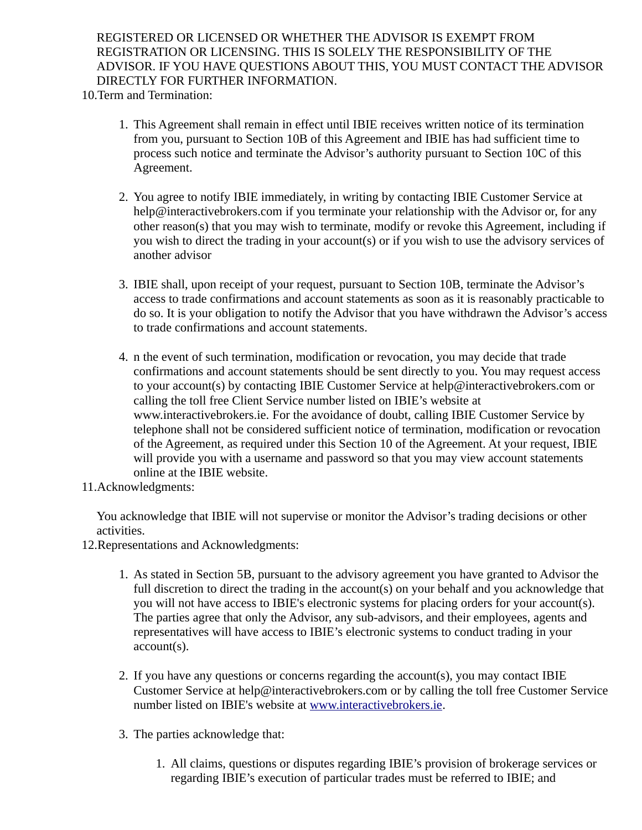REGISTERED OR LICENSED OR WHETHER THE ADVISOR IS EXEMPT FROM REGISTRATION OR LICENSING. THIS IS SOLELY THE RESPONSIBILITY OF THE ADVISOR. IF YOU HAVE QUESTIONS ABOUT THIS, YOU MUST CONTACT THE ADVISOR DIRECTLY FOR FURTHER INFORMATION.

10.Term and Termination:

- 1. This Agreement shall remain in effect until IBIE receives written notice of its termination from you, pursuant to Section 10B of this Agreement and IBIE has had sufficient time to process such notice and terminate the Advisor's authority pursuant to Section 10C of this Agreement.
- 2. You agree to notify IBIE immediately, in writing by contacting IBIE Customer Service at help@interactivebrokers.com if you terminate your relationship with the Advisor or, for any other reason(s) that you may wish to terminate, modify or revoke this Agreement, including if you wish to direct the trading in your account(s) or if you wish to use the advisory services of another advisor
- 3. IBIE shall, upon receipt of your request, pursuant to Section 10B, terminate the Advisor's access to trade confirmations and account statements as soon as it is reasonably practicable to do so. It is your obligation to notify the Advisor that you have withdrawn the Advisor's access to trade confirmations and account statements.
- 4. n the event of such termination, modification or revocation, you may decide that trade confirmations and account statements should be sent directly to you. You may request access to your account(s) by contacting IBIE Customer Service at help@interactivebrokers.com or calling the toll free Client Service number listed on IBIE's website at www.interactivebrokers.ie. For the avoidance of doubt, calling IBIE Customer Service by telephone shall not be considered sufficient notice of termination, modification or revocation of the Agreement, as required under this Section 10 of the Agreement. At your request, IBIE will provide you with a username and password so that you may view account statements online at the IBIE website.
- 11.Acknowledgments:

You acknowledge that IBIE will not supervise or monitor the Advisor's trading decisions or other activities.

- 12.Representations and Acknowledgments:
	- 1. As stated in Section 5B, pursuant to the advisory agreement you have granted to Advisor the full discretion to direct the trading in the account(s) on your behalf and you acknowledge that you will not have access to IBIE's electronic systems for placing orders for your account(s). The parties agree that only the Advisor, any sub-advisors, and their employees, agents and representatives will have access to IBIE's electronic systems to conduct trading in your account(s).
	- 2. If you have any questions or concerns regarding the account(s), you may contact IBIE Customer Service at help@interactivebrokers.com or by calling the toll free Customer Service number listed on IBIE's website at [www.interactivebrokers.ie.](file:///home/dev167a/kdavidso/staged_forms/www.interactivebrokers.ie)
	- 3. The parties acknowledge that:
		- 1. All claims, questions or disputes regarding IBIE's provision of brokerage services or regarding IBIE's execution of particular trades must be referred to IBIE; and